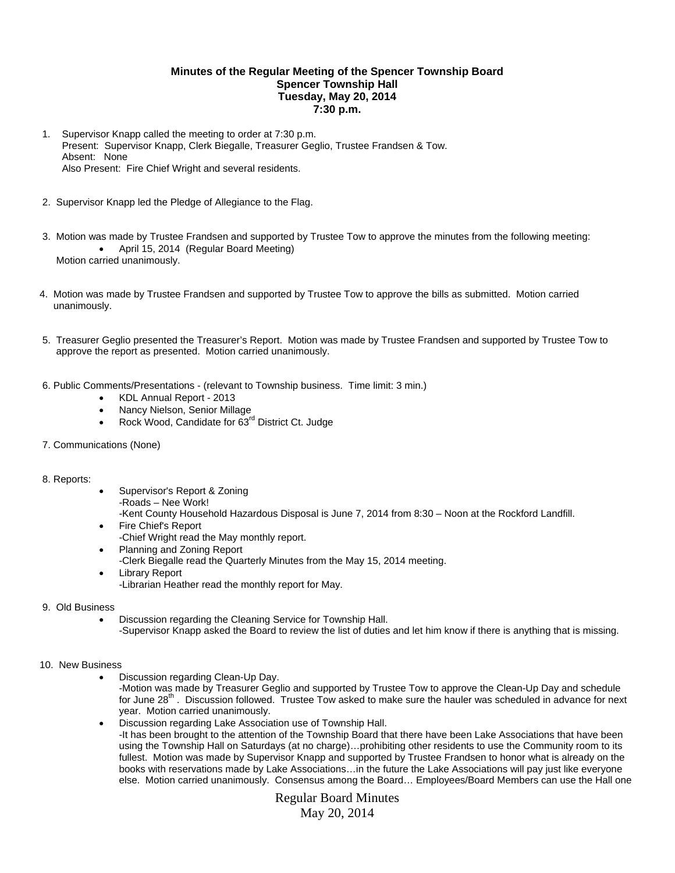## **Minutes of the Regular Meeting of the Spencer Township Board Spencer Township Hall Tuesday, May 20, 2014 7:30 p.m.**

- 1. Supervisor Knapp called the meeting to order at 7:30 p.m. Present: Supervisor Knapp, Clerk Biegalle, Treasurer Geglio, Trustee Frandsen & Tow. Absent: None Also Present: Fire Chief Wright and several residents.
- 2. Supervisor Knapp led the Pledge of Allegiance to the Flag.
- 3. Motion was made by Trustee Frandsen and supported by Trustee Tow to approve the minutes from the following meeting: April 15, 2014 (Regular Board Meeting) Motion carried unanimously.
- 4. Motion was made by Trustee Frandsen and supported by Trustee Tow to approve the bills as submitted. Motion carried unanimously.
- 5. Treasurer Geglio presented the Treasurer's Report. Motion was made by Trustee Frandsen and supported by Trustee Tow to approve the report as presented. Motion carried unanimously.
- 6. Public Comments/Presentations (relevant to Township business. Time limit: 3 min.)
	- KDL Annual Report 2013
	- Nancy Nielson, Senior Millage
	- Rock Wood, Candidate for 63<sup>rd</sup> District Ct. Judge
- 7. Communications (None)

## 8. Reports:

- Supervisor's Report & Zoning -Roads – Nee Work! -Kent County Household Hazardous Disposal is June 7, 2014 from 8:30 – Noon at the Rockford Landfill.
- Fire Chief's Report -Chief Wright read the May monthly report.
- Planning and Zoning Report
- -Clerk Biegalle read the Quarterly Minutes from the May 15, 2014 meeting.
- Library Report
	- -Librarian Heather read the monthly report for May.
- 9. Old Business
	- Discussion regarding the Cleaning Service for Township Hall.
		- -Supervisor Knapp asked the Board to review the list of duties and let him know if there is anything that is missing.

## 10. New Business

- Discussion regarding Clean-Up Day.
	- -Motion was made by Treasurer Geglio and supported by Trustee Tow to approve the Clean-Up Day and schedule for June  $28<sup>th</sup>$ . Discussion followed. Trustee Tow asked to make sure the hauler was scheduled in advance for next year. Motion carried unanimously.
- Discussion regarding Lake Association use of Township Hall. -It has been brought to the attention of the Township Board that there have been Lake Associations that have been using the Township Hall on Saturdays (at no charge)…prohibiting other residents to use the Community room to its fullest. Motion was made by Supervisor Knapp and supported by Trustee Frandsen to honor what is already on the books with reservations made by Lake Associations…in the future the Lake Associations will pay just like everyone else. Motion carried unanimously. Consensus among the Board… Employees/Board Members can use the Hall one

Regular Board Minutes May 20, 2014